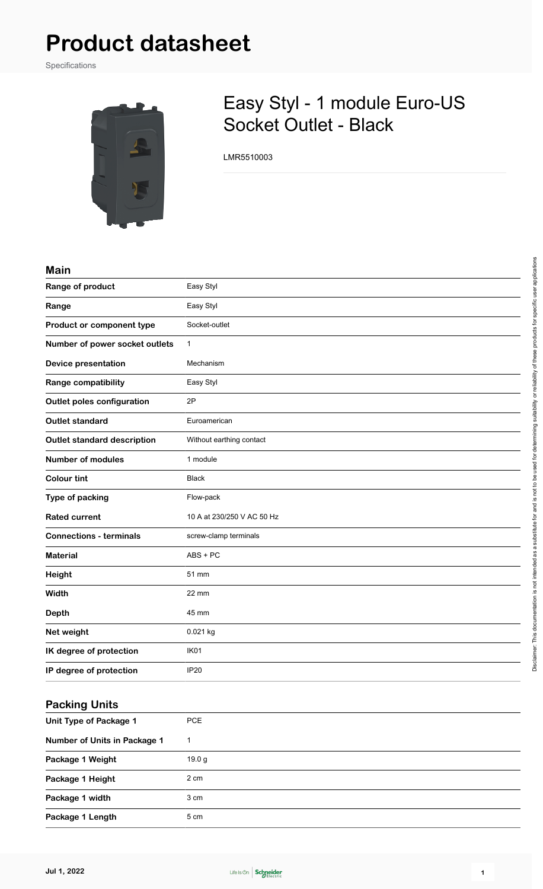# **Product datasheet**

Specifications



## Easy Styl - 1 module Euro-US Socket Outlet - Black

LMR5510003

#### **Main**

| Range of product                   | Easy Styl                  |
|------------------------------------|----------------------------|
| Range                              | Easy Styl                  |
| Product or component type          | Socket-outlet              |
| Number of power socket outlets     | $\mathbf{1}$               |
| <b>Device presentation</b>         | Mechanism                  |
| Range compatibility                | Easy Styl                  |
| <b>Outlet poles configuration</b>  | 2P                         |
| <b>Outlet standard</b>             | Euroamerican               |
| <b>Outlet standard description</b> | Without earthing contact   |
| <b>Number of modules</b>           | 1 module                   |
| <b>Colour tint</b>                 | <b>Black</b>               |
| Type of packing                    | Flow-pack                  |
| <b>Rated current</b>               | 10 A at 230/250 V AC 50 Hz |
| <b>Connections - terminals</b>     | screw-clamp terminals      |
| <b>Material</b>                    | $ABS + PC$                 |
| Height                             | 51 mm                      |
| Width                              | 22 mm                      |
| <b>Depth</b>                       | 45 mm                      |
| Net weight                         | 0.021 kg                   |
| IK degree of protection            | IK01                       |
| IP degree of protection            | <b>IP20</b>                |
|                                    |                            |

#### **Packing Units**

| Unit Type of Package 1       | <b>PCE</b> |
|------------------------------|------------|
| Number of Units in Package 1 |            |
| Package 1 Weight             | 19.0 g     |
| Package 1 Height             | 2 cm       |
| Package 1 width              | 3 cm       |
| Package 1 Length             | 5 cm       |